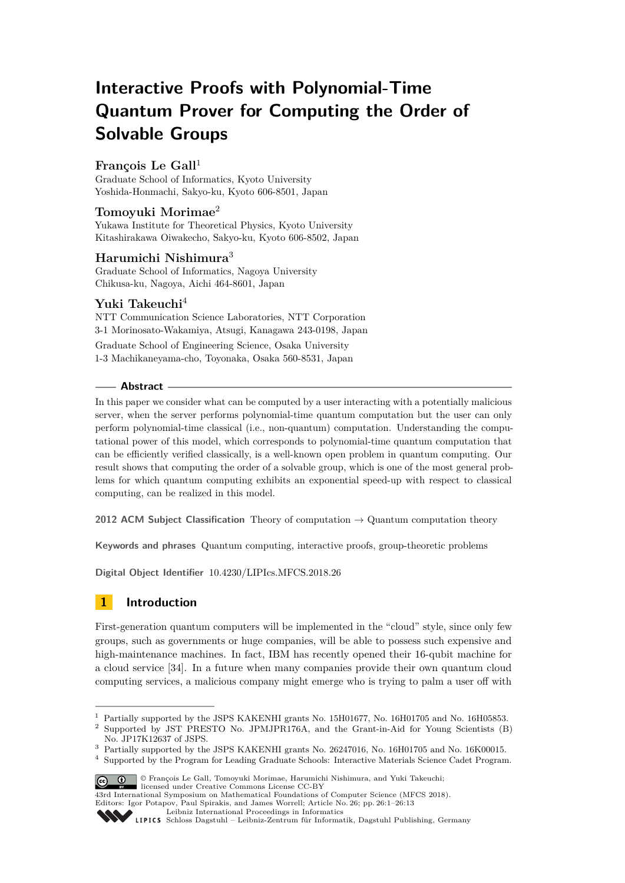# **Interactive Proofs with Polynomial-Time Quantum Prover for Computing the Order of Solvable Groups**

# François Le Gall<sup>1</sup>

Graduate School of Informatics, Kyoto University Yoshida-Honmachi, Sakyo-ku, Kyoto 606-8501, Japan

# **Tomoyuki Morimae**<sup>2</sup>

Yukawa Institute for Theoretical Physics, Kyoto University Kitashirakawa Oiwakecho, Sakyo-ku, Kyoto 606-8502, Japan

# **Harumichi Nishimura**<sup>3</sup>

Graduate School of Informatics, Nagoya University Chikusa-ku, Nagoya, Aichi 464-8601, Japan

# **Yuki Takeuchi**<sup>4</sup>

NTT Communication Science Laboratories, NTT Corporation 3-1 Morinosato-Wakamiya, Atsugi, Kanagawa 243-0198, Japan Graduate School of Engineering Science, Osaka University 1-3 Machikaneyama-cho, Toyonaka, Osaka 560-8531, Japan

## **Abstract**

In this paper we consider what can be computed by a user interacting with a potentially malicious server, when the server performs polynomial-time quantum computation but the user can only perform polynomial-time classical (i.e., non-quantum) computation. Understanding the computational power of this model, which corresponds to polynomial-time quantum computation that can be efficiently verified classically, is a well-known open problem in quantum computing. Our result shows that computing the order of a solvable group, which is one of the most general problems for which quantum computing exhibits an exponential speed-up with respect to classical computing, can be realized in this model.

**2012 ACM Subject Classification** Theory of computation → Quantum computation theory

**Keywords and phrases** Quantum computing, interactive proofs, group-theoretic problems

**Digital Object Identifier** [10.4230/LIPIcs.MFCS.2018.26](http://dx.doi.org/10.4230/LIPIcs.MFCS.2018.26)

# **1 Introduction**

First-generation quantum computers will be implemented in the "cloud" style, since only few groups, such as governments or huge companies, will be able to possess such expensive and high-maintenance machines. In fact, IBM has recently opened their 16-qubit machine for a cloud service [\[34\]](#page-12-0). In a future when many companies provide their own quantum cloud computing services, a malicious company might emerge who is trying to palm a user off with

<sup>4</sup> Supported by the Program for Leading Graduate Schools: Interactive Materials Science Cadet Program.



<sup>©</sup> François Le Gall, Tomoyuki Morimae, Harumichi Nishimura, and Yuki Takeuchi;

licensed under Creative Commons License CC-BY

[Leibniz International Proceedings in Informatics](http://www.dagstuhl.de/lipics/)

<sup>&</sup>lt;sup>1</sup> Partially supported by the JSPS KAKENHI grants No. 15H01677, No. 16H01705 and No. 16H05853.

<sup>&</sup>lt;sup>2</sup> Supported by JST PRESTO No. JPMJPR176A, and the Grant-in-Aid for Young Scientists (B) No. JP17K12637 of JSPS.

<sup>3</sup> Partially supported by the JSPS KAKENHI grants No. 26247016, No. 16H01705 and No. 16K00015.

<sup>43</sup>rd International Symposium on Mathematical Foundations of Computer Science (MFCS 2018). Editors: Igor Potapov, Paul Spirakis, and James Worrell; Article No. 26; pp. 26:1–26[:13](#page-12-1)

[Schloss Dagstuhl – Leibniz-Zentrum für Informatik, Dagstuhl Publishing, Germany](http://www.dagstuhl.de)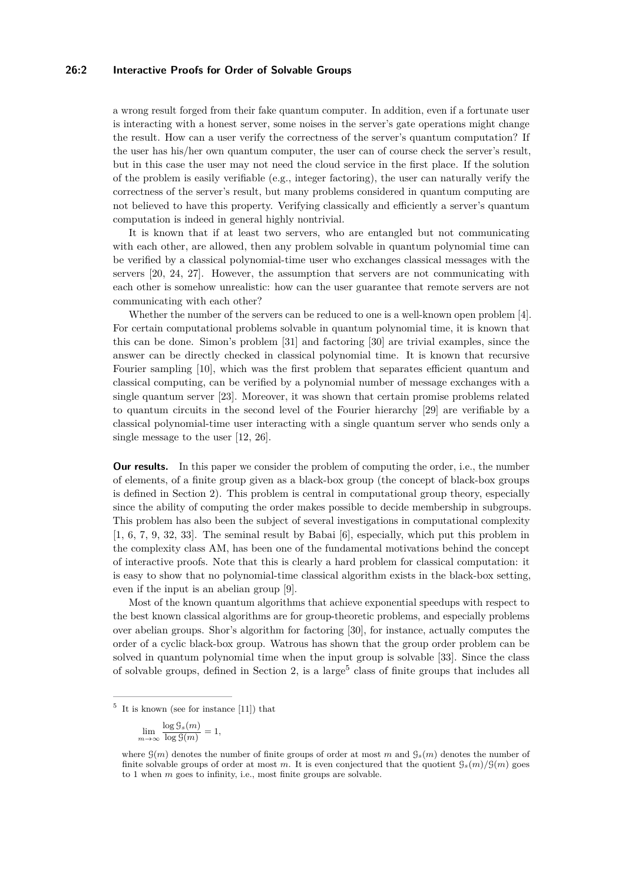#### **26:2 Interactive Proofs for Order of Solvable Groups**

a wrong result forged from their fake quantum computer. In addition, even if a fortunate user is interacting with a honest server, some noises in the server's gate operations might change the result. How can a user verify the correctness of the server's quantum computation? If the user has his/her own quantum computer, the user can of course check the server's result, but in this case the user may not need the cloud service in the first place. If the solution of the problem is easily verifiable (e.g., integer factoring), the user can naturally verify the correctness of the server's result, but many problems considered in quantum computing are not believed to have this property. Verifying classically and efficiently a server's quantum computation is indeed in general highly nontrivial.

It is known that if at least two servers, who are entangled but not communicating with each other, are allowed, then any problem solvable in quantum polynomial time can be verified by a classical polynomial-time user who exchanges classical messages with the servers [\[20,](#page-11-0) [24,](#page-11-1) [27\]](#page-12-2). However, the assumption that servers are not communicating with each other is somehow unrealistic: how can the user guarantee that remote servers are not communicating with each other?

Whether the number of the servers can be reduced to one is a well-known open problem [\[4\]](#page-10-0). For certain computational problems solvable in quantum polynomial time, it is known that this can be done. Simon's problem [\[31\]](#page-12-3) and factoring [\[30\]](#page-12-4) are trivial examples, since the answer can be directly checked in classical polynomial time. It is known that recursive Fourier sampling [\[10\]](#page-11-2), which was the first problem that separates efficient quantum and classical computing, can be verified by a polynomial number of message exchanges with a single quantum server [\[23\]](#page-11-3). Moreover, it was shown that certain promise problems related to quantum circuits in the second level of the Fourier hierarchy [\[29\]](#page-12-5) are verifiable by a classical polynomial-time user interacting with a single quantum server who sends only a single message to the user [\[12,](#page-11-4) [26\]](#page-12-6).

**Our results.** In this paper we consider the problem of computing the order, i.e., the number of elements, of a finite group given as a black-box group (the concept of black-box groups is defined in Section [2\)](#page-2-0). This problem is central in computational group theory, especially since the ability of computing the order makes possible to decide membership in subgroups. This problem has also been the subject of several investigations in computational complexity [\[1,](#page-10-1) [6,](#page-11-5) [7,](#page-11-6) [9,](#page-11-7) [32,](#page-12-7) [33\]](#page-12-8). The seminal result by Babai [\[6\]](#page-11-5), especially, which put this problem in the complexity class AM, has been one of the fundamental motivations behind the concept of interactive proofs. Note that this is clearly a hard problem for classical computation: it is easy to show that no polynomial-time classical algorithm exists in the black-box setting, even if the input is an abelian group [\[9\]](#page-11-7).

Most of the known quantum algorithms that achieve exponential speedups with respect to the best known classical algorithms are for group-theoretic problems, and especially problems over abelian groups. Shor's algorithm for factoring [\[30\]](#page-12-4), for instance, actually computes the order of a cyclic black-box group. Watrous has shown that the group order problem can be solved in quantum polynomial time when the input group is solvable [\[33\]](#page-12-8). Since the class of solvable groups, defined in Section [2,](#page-2-0) is a large<sup>[5](#page-1-0)</sup> class of finite groups that includes all

<span id="page-1-0"></span><sup>5</sup> It is known (see for instance [\[11\]](#page-11-8)) that

lim *m*→∞  $\log \frac{\mathcal{G}_s(m)}{m}$  $\frac{\log S(s(n))}{\log S(m)} = 1,$ 

where  $\mathcal{G}(m)$  denotes the number of finite groups of order at most *m* and  $\mathcal{G}_s(m)$  denotes the number of finite solvable groups of order at most *m*. It is even conjectured that the quotient  $\mathcal{G}_s(m)/\mathcal{G}(m)$  goes to 1 when *m* goes to infinity, i.e., most finite groups are solvable.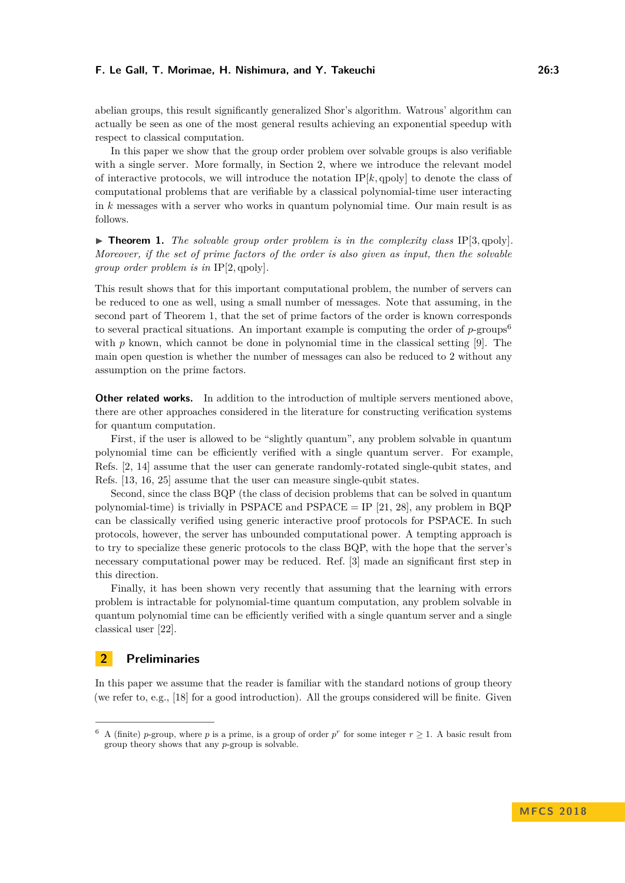abelian groups, this result significantly generalized Shor's algorithm. Watrous' algorithm can actually be seen as one of the most general results achieving an exponential speedup with respect to classical computation.

In this paper we show that the group order problem over solvable groups is also verifiable with a single server. More formally, in Section [2,](#page-2-0) where we introduce the relevant model of interactive protocols, we will introduce the notation  $IP[k, qpoly]$  to denote the class of computational problems that are verifiable by a classical polynomial-time user interacting in *k* messages with a server who works in quantum polynomial time. Our main result is as follows.

<span id="page-2-1"></span> $\triangleright$  **Theorem 1.** The solvable group order problem is in the complexity class IP[3, qpoly]. *Moreover, if the set of prime factors of the order is also given as input, then the solvable group order problem is in* IP[2*,* qpoly]*.*

This result shows that for this important computational problem, the number of servers can be reduced to one as well, using a small number of messages. Note that assuming, in the second part of Theorem [1,](#page-2-1) that the set of prime factors of the order is known corresponds to several practical situations. An important example is computing the order of *p*-groups[6](#page-2-2) with *p* known, which cannot be done in polynomial time in the classical setting [\[9\]](#page-11-7). The main open question is whether the number of messages can also be reduced to 2 without any assumption on the prime factors.

**Other related works.** In addition to the introduction of multiple servers mentioned above, there are other approaches considered in the literature for constructing verification systems for quantum computation.

First, if the user is allowed to be "slightly quantum", any problem solvable in quantum polynomial time can be efficiently verified with a single quantum server. For example, Refs. [\[2,](#page-10-2) [14\]](#page-11-9) assume that the user can generate randomly-rotated single-qubit states, and Refs. [\[13,](#page-11-10) [16,](#page-11-11) [25\]](#page-11-12) assume that the user can measure single-qubit states.

Second, since the class BQP (the class of decision problems that can be solved in quantum polynomial-time) is trivially in PSPACE and PSPACE = IP [\[21,](#page-11-13) [28\]](#page-12-9), any problem in BQP can be classically verified using generic interactive proof protocols for PSPACE. In such protocols, however, the server has unbounded computational power. A tempting approach is to try to specialize these generic protocols to the class BQP, with the hope that the server's necessary computational power may be reduced. Ref. [\[3\]](#page-10-3) made an significant first step in this direction.

Finally, it has been shown very recently that assuming that the learning with errors problem is intractable for polynomial-time quantum computation, any problem solvable in quantum polynomial time can be efficiently verified with a single quantum server and a single classical user [\[22\]](#page-11-14).

# <span id="page-2-0"></span>**2 Preliminaries**

In this paper we assume that the reader is familiar with the standard notions of group theory (we refer to, e.g., [\[18\]](#page-11-15) for a good introduction). All the groups considered will be finite. Given

<span id="page-2-2"></span><sup>&</sup>lt;sup>6</sup> A (finite) *p*-group, where *p* is a prime, is a group of order  $p^r$  for some integer  $r \geq 1$ . A basic result from group theory shows that any *p*-group is solvable.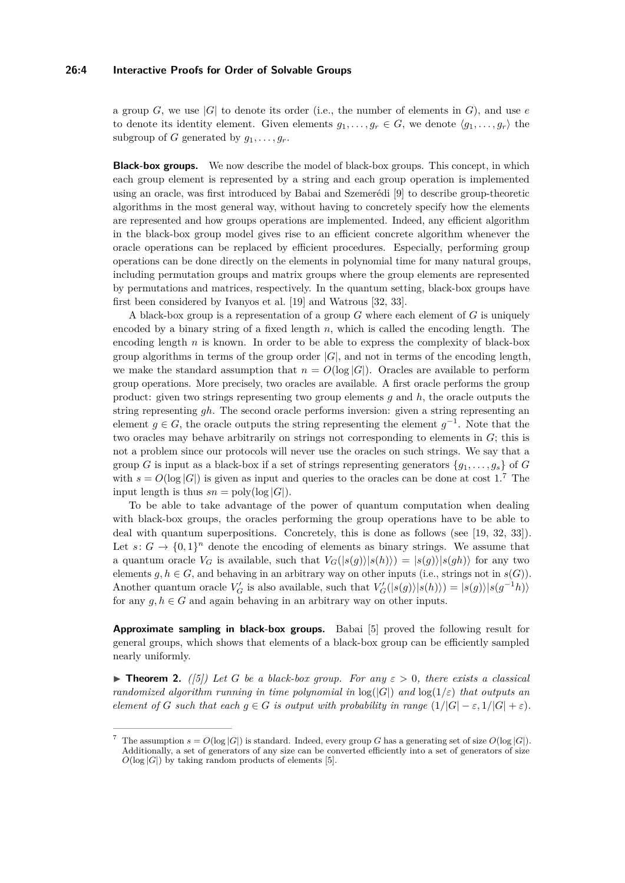#### **26:4 Interactive Proofs for Order of Solvable Groups**

a group *G*, we use  $|G|$  to denote its order (i.e., the number of elements in *G*), and use *e* to denote its identity element. Given elements  $g_1, \ldots, g_r \in G$ , we denote  $\langle g_1, \ldots, g_r \rangle$  the subgroup of *G* generated by  $q_1, \ldots, q_r$ .

**Black-box groups.** We now describe the model of black-box groups. This concept, in which each group element is represented by a string and each group operation is implemented using an oracle, was first introduced by Babai and Szemerédi [\[9\]](#page-11-7) to describe group-theoretic algorithms in the most general way, without having to concretely specify how the elements are represented and how groups operations are implemented. Indeed, any efficient algorithm in the black-box group model gives rise to an efficient concrete algorithm whenever the oracle operations can be replaced by efficient procedures. Especially, performing group operations can be done directly on the elements in polynomial time for many natural groups, including permutation groups and matrix groups where the group elements are represented by permutations and matrices, respectively. In the quantum setting, black-box groups have first been considered by Ivanyos et al. [\[19\]](#page-11-16) and Watrous [\[32,](#page-12-7) [33\]](#page-12-8).

A black-box group is a representation of a group *G* where each element of *G* is uniquely encoded by a binary string of a fixed length *n*, which is called the encoding length. The encoding length *n* is known. In order to be able to express the complexity of black-box group algorithms in terms of the group order  $|G|$ , and not in terms of the encoding length, we make the standard assumption that  $n = O(\log |G|)$ . Oracles are available to perform group operations. More precisely, two oracles are available. A first oracle performs the group product: given two strings representing two group elements *g* and *h*, the oracle outputs the string representing *gh*. The second oracle performs inversion: given a string representing an element  $g \in G$ , the oracle outputs the string representing the element  $g^{-1}$ . Note that the two oracles may behave arbitrarily on strings not corresponding to elements in *G*; this is not a problem since our protocols will never use the oracles on such strings. We say that a group *G* is input as a black-box if a set of strings representing generators  $\{g_1, \ldots, g_s\}$  of *G* with  $s = O(\log |G|)$  is given as input and queries to the oracles can be done at cost 1.<sup>[7](#page-3-0)</sup> The input length is thus  $sn = \text{poly}(\log |G|)$ .

To be able to take advantage of the power of quantum computation when dealing with black-box groups, the oracles performing the group operations have to be able to deal with quantum superpositions. Concretely, this is done as follows (see [\[19,](#page-11-16) [32,](#page-12-7) [33\]](#page-12-8)). Let  $s: G \to \{0,1\}^n$  denote the encoding of elements as binary strings. We assume that a quantum oracle  $V_G$  is available, such that  $V_G(|s(g)||s(h)) = |s(g)||s(gh)|$  for any two elements  $g, h \in G$ , and behaving in an arbitrary way on other inputs (i.e., strings not in  $s(G)$ ). Another quantum oracle  $V'_G$  is also available, such that  $V'_G(|s(g)\rangle|s(h)\rangle) = |s(g)\rangle|s(g^{-1}h)\rangle$ for any  $g, h \in G$  and again behaving in an arbitrary way on other inputs.

**Approximate sampling in black-box groups.** Babai [\[5\]](#page-10-4) proved the following result for general groups, which shows that elements of a black-box group can be efficiently sampled nearly uniformly.

<span id="page-3-1"></span>**Figure 12.** ([\[5\]](#page-10-4)) Let G be a black-box group. For any  $\varepsilon > 0$ , there exists a classical *randomized algorithm running in time polynomial in*  $log(|G|)$  *and*  $log(1/\varepsilon)$  *that outputs an element of G such that each*  $g \in G$  *is output with probability in range*  $(1/|G| - \varepsilon, 1/|G| + \varepsilon)$ *.* 

<span id="page-3-0"></span>The assumption  $s = O(\log |G|)$  is standard. Indeed, every group *G* has a generating set of size  $O(\log |G|)$ . Additionally, a set of generators of any size can be converted efficiently into a set of generators of size  $O(\log |G|)$  by taking random products of elements [\[5\]](#page-10-4).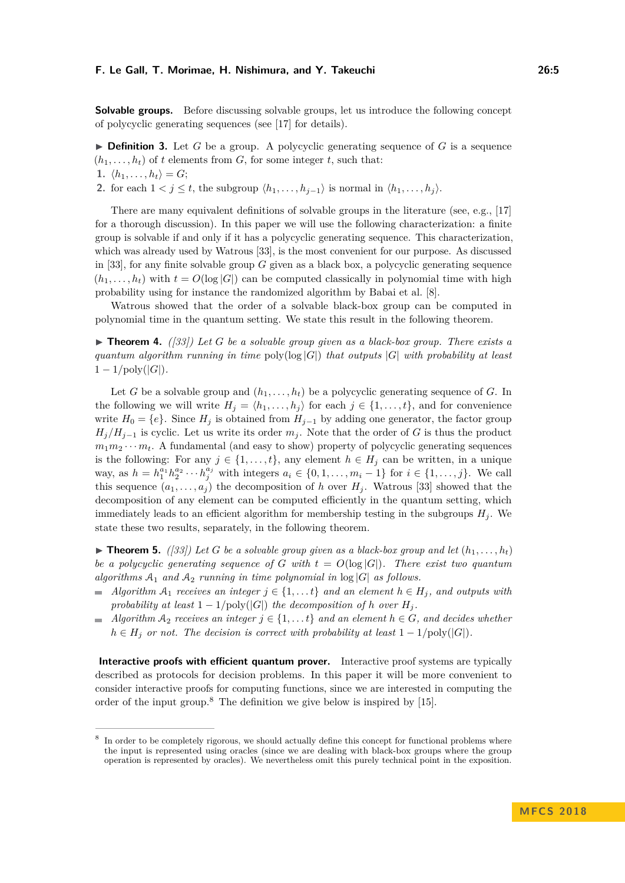**Solvable groups.** Before discussing solvable groups, let us introduce the following concept of polycyclic generating sequences (see [\[17\]](#page-11-17) for details).

 $\triangleright$  **Definition 3.** Let *G* be a group. A polycyclic generating sequence of *G* is a sequence  $(h_1, \ldots, h_t)$  of *t* elements from *G*, for some integer *t*, such that:

1.  $\langle h_1, \ldots, h_t \rangle = G;$ 

**2.** for each  $1 < j \leq t$ , the subgroup  $\langle h_1, \ldots, h_{j-1} \rangle$  is normal in  $\langle h_1, \ldots, h_j \rangle$ .

There are many equivalent definitions of solvable groups in the literature (see, e.g., [\[17\]](#page-11-17) for a thorough discussion). In this paper we will use the following characterization: a finite group is solvable if and only if it has a polycyclic generating sequence. This characterization, which was already used by Watrous [\[33\]](#page-12-8), is the most convenient for our purpose. As discussed in [\[33\]](#page-12-8), for any finite solvable group *G* given as a black box, a polycyclic generating sequence  $(h_1, \ldots, h_t)$  with  $t = O(\log |G|)$  can be computed classically in polynomial time with high probability using for instance the randomized algorithm by Babai et al. [\[8\]](#page-11-18).

Watrous showed that the order of a solvable black-box group can be computed in polynomial time in the quantum setting. We state this result in the following theorem.

<span id="page-4-2"></span> $\triangleright$  **Theorem 4.** *([\[33\]](#page-12-8))* Let G be a solvable group given as a black-box group. There exists a *quantum algorithm running in time* poly(log |*G*|) *that outputs* |*G*| *with probability at least*  $1 - 1/\text{poly}(|G|)$ .

Let *G* be a solvable group and  $(h_1, \ldots, h_t)$  be a polycyclic generating sequence of *G*. In the following we will write  $H_j = \langle h_1, \ldots, h_j \rangle$  for each  $j \in \{1, \ldots, t\}$ , and for convenience write  $H_0 = \{e\}$ . Since  $H_j$  is obtained from  $H_{j-1}$  by adding one generator, the factor group  $H_i/H_{i-1}$  is cyclic. Let us write its order  $m_i$ . Note that the order of *G* is thus the product  $m_1m_2\cdots m_t$ . A fundamental (and easy to show) property of polycyclic generating sequences is the following: For any  $j \in \{1, ..., t\}$ , any element  $h \in H_j$  can be written, in a unique way, as *h* =  $h_1^{a_1} h_2^{a_2} \cdots h_j^{a_j}$  with integers  $a_i \in \{0, 1, \ldots, m_i - 1\}$  for *i* ∈ {1, ..., *j*}. We call this sequence  $(a_1, \ldots, a_j)$  the decomposition of *h* over  $H_i$ . Watrous [\[33\]](#page-12-8) showed that the decomposition of any element can be computed efficiently in the quantum setting, which immediately leads to an efficient algorithm for membership testing in the subgroups  $H_i$ . We state these two results, separately, in the following theorem.

<span id="page-4-1"></span> $\triangleright$  **Theorem 5.** *([\[33\]](#page-12-8))* Let G be a solvable group given as a black-box group and let  $(h_1, \ldots, h_t)$ *be a polycyclic generating sequence of G* with  $t = O(\log |G|)$ . There exist two quantum *algorithms*  $A_1$  *and*  $A_2$  *running in time polynomial in*  $log|G|$  *as follows.* 

- *Algorithm*  $A_1$  *receives an integer*  $j \in \{1, \ldots t\}$  *and an element*  $h \in H_j$ *, and outputs with probability at least*  $1 - 1/\text{poly}(|G|)$  *the decomposition of h over*  $H_i$ .
- $\blacksquare$  *Algorithm*  $\mathcal{A}_2$  *receives an integer*  $j \in \{1, \ldots t\}$  *and an element*  $h \in G$ *, and decides whether*  $h \in H_j$  *or not. The decision is correct with probability at least*  $1 - 1/\text{poly}(|G|)$ *.*

**Interactive proofs with efficient quantum prover.** Interactive proof systems are typically described as protocols for decision problems. In this paper it will be more convenient to consider interactive proofs for computing functions, since we are interested in computing the order of the input group.[8](#page-4-0) The definition we give below is inspired by [\[15\]](#page-11-19).

<span id="page-4-0"></span><sup>8</sup> In order to be completely rigorous, we should actually define this concept for functional problems where the input is represented using oracles (since we are dealing with black-box groups where the group operation is represented by oracles). We nevertheless omit this purely technical point in the exposition.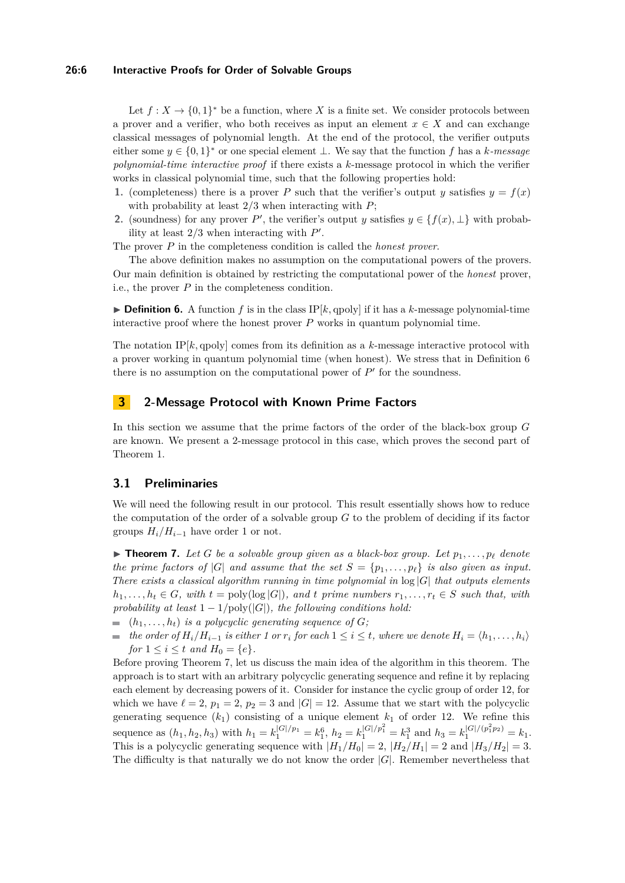#### **26:6 Interactive Proofs for Order of Solvable Groups**

Let  $f: X \to \{0,1\}^*$  be a function, where X is a finite set. We consider protocols between a prover and a verifier, who both receives as input an element  $x \in X$  and can exchange classical messages of polynomial length. At the end of the protocol, the verifier outputs either some  $y \in \{0,1\}^*$  or one special element  $\perp$ . We say that the function *f* has a *k-message polynomial-time interactive proof* if there exists a *k*-message protocol in which the verifier works in classical polynomial time, such that the following properties hold:

- **1.** (completeness) there is a prover *P* such that the verifier's output *y* satisfies  $y = f(x)$ with probability at least 2*/*3 when interacting with *P*;
- **2.** (soundness) for any prover *P*<sup>'</sup>, the verifier's output *y* satisfies  $y \in \{f(x), \perp\}$  with probability at least  $2/3$  when interacting with  $P'$ .

The prover *P* in the completeness condition is called the *honest prover*.

The above definition makes no assumption on the computational powers of the provers. Our main definition is obtained by restricting the computational power of the *honest* prover, i.e., the prover *P* in the completeness condition.

<span id="page-5-0"></span> $\triangleright$  **Definition 6.** A function f is in the class IP[k, qpoly] if it has a k-message polynomial-time interactive proof where the honest prover  $P$  works in quantum polynomial time.

The notation IP $[k, q$ poly] comes from its definition as a  $k$ -message interactive protocol with a prover working in quantum polynomial time (when honest). We stress that in Definition [6](#page-5-0) there is no assumption on the computational power of  $P'$  for the soundness.

## <span id="page-5-2"></span>**3 2-Message Protocol with Known Prime Factors**

In this section we assume that the prime factors of the order of the black-box group *G* are known. We present a 2-message protocol in this case, which proves the second part of Theorem [1.](#page-2-1)

## **3.1 Preliminaries**

We will need the following result in our protocol. This result essentially shows how to reduce the computation of the order of a solvable group *G* to the problem of deciding if its factor groups  $H_i/H_{i-1}$  have order 1 or not.

<span id="page-5-1"></span> $\blacktriangleright$  **Theorem 7.** Let G be a solvable group given as a black-box group. Let  $p_1, \ldots, p_\ell$  denote *the prime factors of*  $|G|$  *and assume that the set*  $S = \{p_1, \ldots, p_\ell\}$  *is also given as input. There exists a classical algorithm running in time polynomial in* log |*G*| *that outputs elements*  $h_1, \ldots, h_t \in G$ *, with*  $t = \text{poly}(\log |G|)$ *, and*  $t$  *prime numbers*  $r_1, \ldots, r_t \in S$  *such that, with probability at least*  $1 - 1/\text{poly}(|G|)$ *, the following conditions hold:* 

- $(h_1, \ldots, h_t)$  *is a polycyclic generating sequence of G;*
- $\bullet$  *the order of*  $H_i/H_{i-1}$  *is either 1 or*  $r_i$  *for each*  $1 ≤ i ≤ t$ *, where we denote*  $H_i = \langle h_1, \ldots, h_i \rangle$ *for*  $1 \le i \le t$  *and*  $H_0 = \{e\}.$

Before proving Theorem [7,](#page-5-1) let us discuss the main idea of the algorithm in this theorem. The approach is to start with an arbitrary polycyclic generating sequence and refine it by replacing each element by decreasing powers of it. Consider for instance the cyclic group of order 12, for which we have  $\ell = 2$ ,  $p_1 = 2$ ,  $p_2 = 3$  and  $|G| = 12$ . Assume that we start with the polycyclic generating sequence  $(k_1)$  consisting of a unique element  $k_1$  of order 12. We refine this sequence as  $(h_1, h_2, h_3)$  with  $h_1 = k_1^{|G|/p_1} = k_1^6$ ,  $h_2 = k_1^{|G|/p_1^2} = k_1^3$  and  $h_3 = k_1^{|G|/(p_1^2 p_2)} = k_1$ . This is a polycyclic generating sequence with  $|H_1/H_0| = 2$ ,  $|H_2/H_1| = 2$  and  $|H_3/H_2| = 3$ . The difficulty is that naturally we do not know the order  $|G|$ . Remember nevertheless that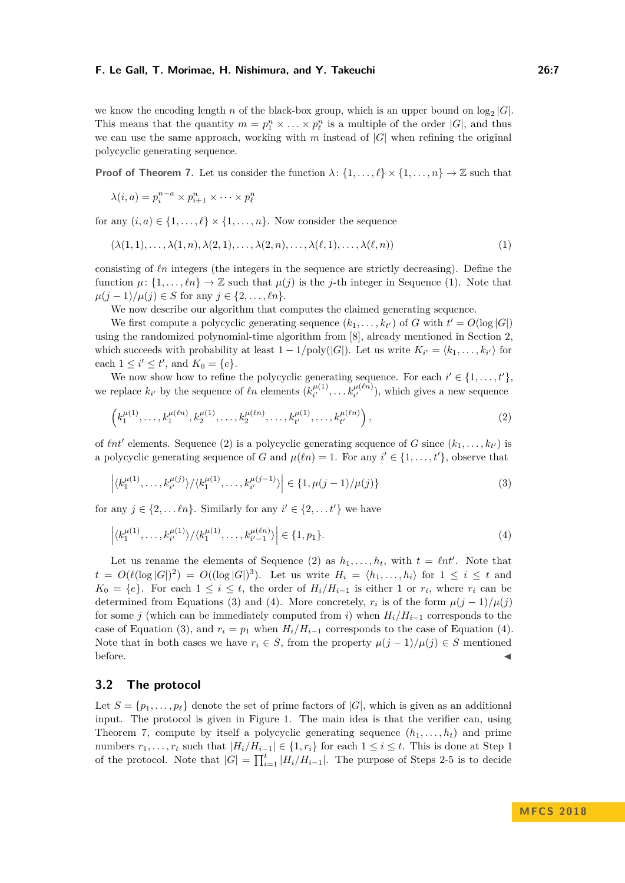<span id="page-6-2"></span><span id="page-6-1"></span><span id="page-6-0"></span>

we know the encoding length *n* of the black-box group, which is an upper bound on  $log_2 |G|$ . This means that the quantity  $m = p_1^n \times \ldots \times p_\ell^n$  is a multiple of the order  $|G|$ , and thus we can use the same approach, working with *m* instead of |*G*| when refining the original polycyclic generating sequence.

**Proof of Theorem [7.](#page-5-1)** Let us consider the function  $\lambda$ :  $\{1, \ldots, \ell\} \times \{1, \ldots, n\} \to \mathbb{Z}$  such that

$$
\lambda(i, a) = p_i^{n-a} \times p_{i+1}^n \times \cdots \times p_{\ell}^n
$$

for any  $(i, a) \in \{1, \ldots, \ell\} \times \{1, \ldots, n\}$ . Now consider the sequence

$$
(\lambda(1,1),\ldots,\lambda(1,n),\lambda(2,1),\ldots,\lambda(2,n),\ldots,\lambda(\ell,1),\ldots,\lambda(\ell,n))
$$
\n(1)

consisting of  $\ell n$  integers (the integers in the sequence are strictly decreasing). Define the function  $\mu: \{1, \ldots, \ell n\} \to \mathbb{Z}$  such that  $\mu(j)$  is the *j*-th integer in Sequence [\(1\)](#page-6-0). Note that *µ*(*j* − 1)/*µ*(*j*) ∈ *S* for any *j* ∈ {2, ...,  $ln$ }.

We now describe our algorithm that computes the claimed generating sequence.

We first compute a polycyclic generating sequence  $(k_1, \ldots, k_{t'})$  of *G* with  $t' = O(\log |G|)$ using the randomized polynomial-time algorithm from [\[8\]](#page-11-18), already mentioned in Section [2,](#page-2-0) which succeeds with probability at least  $1 - 1/\text{poly}(|G|)$ . Let us write  $K_{i'} = \langle k_1, \ldots, k_{i'} \rangle$  for each  $1 \le i' \le t'$ , and  $K_0 = \{e\}.$ 

We now show how to refine the polycyclic generating sequence. For each  $i' \in \{1, \ldots, t'\}$ , we replace  $k_{i'}$  by the sequence of  $\ell n$  elements  $(k_{i'}^{\mu(1)})$  $h_{i'}^{\mu(1)}, \ldots, h_{i'}^{\mu(\ell n)}$ , which gives a new sequence

$$
\left(k_1^{\mu(1)},\ldots,k_1^{\mu(\ell n)},k_2^{\mu(1)},\ldots,k_2^{\mu(\ell n)},\ldots,k_{t'}^{\mu(1)},\ldots,k_{t'}^{\mu(\ell n)}\right),\tag{2}
$$

of  $\ell nt'$  elements. Sequence [\(2\)](#page-6-1) is a polycyclic generating sequence of *G* since  $(k_1, \ldots, k_{t'})$  is a polycyclic generating sequence of *G* and  $\mu(\ell n) = 1$ . For any  $i' \in \{1, \ldots, t'\}$ , observe that

<span id="page-6-3"></span>
$$
\left| \langle k_1^{\mu(1)}, \dots, k_{i'}^{\mu(j)} \rangle / \langle k_1^{\mu(1)}, \dots, k_{i'}^{\mu(j-1)} \rangle \right| \in \{1, \mu(j-1)/\mu(j)\}
$$
\n(3)

for any  $j \in \{2, \ldots \ell n\}$ . Similarly for any  $i' \in \{2, \ldots t'\}$  we have

$$
\left| \langle k_1^{\mu(1)}, \dots, k_{i'}^{\mu(1)} \rangle / \langle k_1^{\mu(1)}, \dots, k_{i'-1}^{\mu(\ell n)} \rangle \right| \in \{1, p_1\}.
$$
 (4)

Let us rename the elements of Sequence [\(2\)](#page-6-1) as  $h_1, \ldots, h_t$ , with  $t = \ell nt'$ . Note that  $t = O(\ell(\log |G|)^2) = O((\log |G|)^3)$ . Let us write  $H_i = \langle h_1, \ldots, h_i \rangle$  for  $1 \leq i \leq t$  and *K*<sup>0</sup> = {*e*}. For each 1 ≤ *i* ≤ *t*, the order of  $H_i/H_{i-1}$  is either 1 or  $r_i$ , where  $r_i$  can be determined from Equations [\(3\)](#page-6-2) and [\(4\)](#page-6-3). More concretely,  $r_i$  is of the form  $\mu(j-1)/\mu(j)$ for some *j* (which can be immediately computed from *i*) when  $H_i/H_{i-1}$  corresponds to the case of Equation [\(3\)](#page-6-2), and  $r_i = p_1$  when  $H_i/H_{i-1}$  corresponds to the case of Equation [\(4\)](#page-6-3). Note that in both cases we have  $r_i \in S$ , from the property  $\mu(j-1)/\mu(j) \in S$  mentioned  $\blacksquare$ before.

## **3.2 The protocol**

Let  $S = \{p_1, \ldots, p_\ell\}$  denote the set of prime factors of  $|G|$ , which is given as an additional input. The protocol is given in Figure [1.](#page-7-0) The main idea is that the verifier can, using Theorem [7,](#page-5-1) compute by itself a polycyclic generating sequence  $(h_1, \ldots, h_t)$  and prime numbers  $r_1, \ldots, r_t$  such that  $|H_i/H_{i-1}| \in \{1, r_i\}$  for each  $1 \leq i \leq t$ . This is done at Step 1 of the protocol. Note that  $|G| = \prod_{i=1}^{t} |H_i/H_{i-1}|$ . The purpose of Steps 2-5 is to decide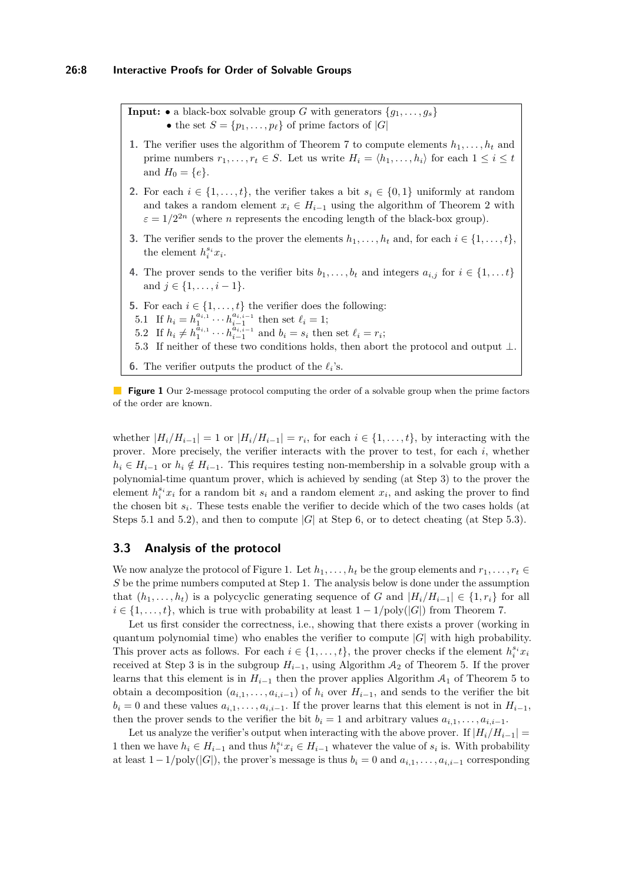<span id="page-7-0"></span>**Input:**  $\bullet$  a black-box solvable group *G* with generators  $\{g_1, \ldots, g_s\}$ • the set  $S = \{p_1, \ldots, p_\ell\}$  of prime factors of  $|G|$ 

- **1.** The verifier uses the algorithm of Theorem [7](#page-5-1) to compute elements  $h_1, \ldots, h_t$  and prime numbers  $r_1, \ldots, r_t \in S$ . Let us write  $H_i = \langle h_1, \ldots, h_i \rangle$  for each  $1 \leq i \leq t$ and  $H_0 = \{e\}.$
- **2.** For each  $i \in \{1, \ldots, t\}$ , the verifier takes a bit  $s_i \in \{0, 1\}$  uniformly at random and takes a random element  $x_i \in H_{i-1}$  using the algorithm of Theorem [2](#page-3-1) with  $\varepsilon = 1/2^{2n}$  (where *n* represents the encoding length of the black-box group).
- **3.** The verifier sends to the prover the elements  $h_1, \ldots, h_t$  and, for each  $i \in \{1, \ldots, t\}$ , the element  $h_i^{s_i}x_i$ .
- **4.** The prover sends to the verifier bits  $b_1, \ldots, b_t$  and integers  $a_{i,j}$  for  $i \in \{1, \ldots t\}$ and  $j \in \{1, \ldots, i-1\}.$
- **5.** For each  $i \in \{1, \ldots, t\}$  the verifier does the following:
- 5.1 If  $h_i = h_1^{a_{i,1}} \cdots h_{i-1}^{a_{i,i-1}}$  then set  $\ell_i = 1$ ;
- 5.2 If  $h_i \neq h_1^{\hat{a}_{i,1}} \cdots h_{i-1}^{\hat{a}_{i,i-1}}$  and  $b_i = s_i$  then set  $\ell_i = r_i$ ;
- 5.3 If neither of these two conditions holds, then abort the protocol and output ⊥.
- **6.** The verifier outputs the product of the  $\ell_i$ 's.

**Figure 1** Our 2-message protocol computing the order of a solvable group when the prime factors of the order are known.

whether  $|H_i/H_{i-1}| = 1$  or  $|H_i/H_{i-1}| = r_i$ , for each  $i \in \{1, ..., t\}$ , by interacting with the prover. More precisely, the verifier interacts with the prover to test, for each *i*, whether  $h_i \in H_{i-1}$  or  $h_i \notin H_{i-1}$ . This requires testing non-membership in a solvable group with a polynomial-time quantum prover, which is achieved by sending (at Step 3) to the prover the element  $h_i^{s_i} x_i$  for a random bit  $s_i$  and a random element  $x_i$ , and asking the prover to find the chosen bit *s<sup>i</sup>* . These tests enable the verifier to decide which of the two cases holds (at Steps 5.1 and 5.2), and then to compute  $|G|$  at Step 6, or to detect cheating (at Step 5.3).

## **3.3 Analysis of the protocol**

We now analyze the protocol of Figure [1.](#page-7-0) Let  $h_1, \ldots, h_t$  be the group elements and  $r_1, \ldots, r_t \in$ *S* be the prime numbers computed at Step 1. The analysis below is done under the assumption that  $(h_1, \ldots, h_t)$  is a polycyclic generating sequence of *G* and  $|H_i/H_{i-1}| \in \{1, r_i\}$  for all  $i \in \{1, \ldots, t\}$ , which is true with probability at least  $1 - 1/\text{poly}(|G|)$  from Theorem [7.](#page-5-1)

Let us first consider the correctness, i.e., showing that there exists a prover (working in quantum polynomial time) who enables the verifier to compute  $|G|$  with high probability. This prover acts as follows. For each  $i \in \{1, \ldots, t\}$ , the prover checks if the element  $h_i^{s_i} x_i$ received at Step 3 is in the subgroup  $H_{i-1}$ , using Algorithm  $A_2$  of Theorem [5.](#page-4-1) If the prover learns that this element is in  $H_{i-1}$  then the prover applies Algorithm  $A_1$  of Theorem [5](#page-4-1) to obtain a decomposition  $(a_{i,1}, \ldots, a_{i,i-1})$  of  $h_i$  over  $H_{i-1}$ , and sends to the verifier the bit  $b_i = 0$  and these values  $a_{i,1}, \ldots, a_{i,i-1}$ . If the prover learns that this element is not in  $H_{i-1}$ , then the prover sends to the verifier the bit  $b_i = 1$  and arbitrary values  $a_{i,1}, \ldots, a_{i,i-1}$ .

Let us analyze the verifier's output when interacting with the above prover. If  $|H_i/H_{i-1}|$  = 1 then we have  $h_i \in H_{i-1}$  and thus  $h_i^{s_i} x_i \in H_{i-1}$  whatever the value of  $s_i$  is. With probability at least  $1-1/poly(|G|)$ , the prover's message is thus  $b_i = 0$  and  $a_{i,1}, \ldots, a_{i,i-1}$  corresponding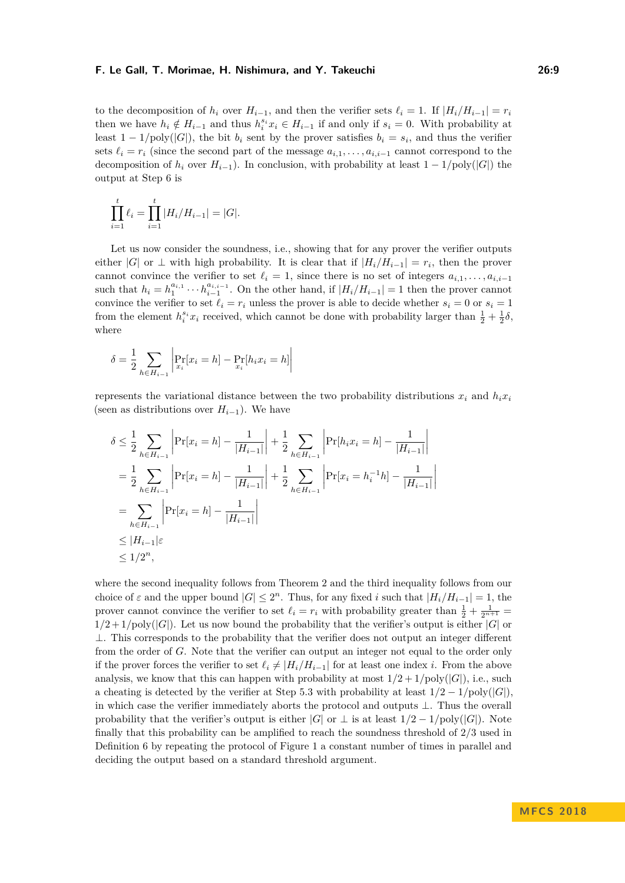to the decomposition of  $h_i$  over  $H_{i-1}$ , and then the verifier sets  $\ell_i = 1$ . If  $|H_i/H_{i-1}| = r_i$ then we have  $h_i \notin H_{i-1}$  and thus  $h_i^{s_i} x_i \in H_{i-1}$  if and only if  $s_i = 0$ . With probability at least  $1 - 1/\text{poly}(|G|)$ , the bit  $b_i$  sent by the prover satisfies  $b_i = s_i$ , and thus the verifier sets  $\ell_i = r_i$  (since the second part of the message  $a_{i,1}, \ldots, a_{i,i-1}$  cannot correspond to the decomposition of  $h_i$  over  $H_{i-1}$ ). In conclusion, with probability at least  $1 - 1/\text{poly}(|G|)$  the output at Step 6 is

$$
\prod_{i=1}^{t} \ell_i = \prod_{i=1}^{t} |H_i/H_{i-1}| = |G|.
$$

Let us now consider the soundness, i.e., showing that for any prover the verifier outputs either |*G*| or  $\perp$  with high probability. It is clear that if  $|H_i/H_{i-1}| = r_i$ , then the prover cannot convince the verifier to set  $\ell_i = 1$ , since there is no set of integers  $a_{i,1}, \ldots, a_{i,i-1}$ such that  $h_i = h_1^{a_{i,1}} \cdots h_{i-1}^{a_{i,i-1}}$ . On the other hand, if  $|H_i/H_{i-1}| = 1$  then the prover cannot convince the verifier to set  $\ell_i = r_i$  unless the prover is able to decide whether  $s_i = 0$  or  $s_i = 1$ from the element  $h_i^{s_i} x_i$  received, which cannot be done with probability larger than  $\frac{1}{2} + \frac{1}{2}\delta$ , where

$$
\delta = \frac{1}{2} \sum_{h \in H_{i-1}} \left| \Pr_{x_i} [x_i = h] - \Pr_{x_i} [h_i x_i = h] \right|
$$

represents the variational distance between the two probability distributions  $x_i$  and  $h_i x_i$ (seen as distributions over  $H_{i-1}$ ). We have

$$
\delta \leq \frac{1}{2} \sum_{h \in H_{i-1}} \left| \Pr[x_i = h] - \frac{1}{|H_{i-1}|} \right| + \frac{1}{2} \sum_{h \in H_{i-1}} \left| \Pr[h_i x_i = h] - \frac{1}{|H_{i-1}|} \right|
$$
  
\n
$$
= \frac{1}{2} \sum_{h \in H_{i-1}} \left| \Pr[x_i = h] - \frac{1}{|H_{i-1}|} \right| + \frac{1}{2} \sum_{h \in H_{i-1}} \left| \Pr[x_i = h_i^{-1} h] - \frac{1}{|H_{i-1}|} \right|
$$
  
\n
$$
= \sum_{h \in H_{i-1}} \left| \Pr[x_i = h] - \frac{1}{|H_{i-1}|} \right|
$$
  
\n
$$
\leq |H_{i-1}| \varepsilon
$$
  
\n
$$
\leq 1/2^n,
$$

where the second inequality follows from Theorem [2](#page-3-1) and the third inequality follows from our choice of  $\varepsilon$  and the upper bound  $|G| \leq 2^n$ . Thus, for any fixed *i* such that  $|H_i/H_{i-1}| = 1$ , the prover cannot convince the verifier to set  $\ell_i = r_i$  with probability greater than  $\frac{1}{2} + \frac{1}{2^{n+1}} =$  $1/2 + 1/\text{poly}(|G|)$ . Let us now bound the probability that the verifier's output is either  $|G|$  or  $\perp$ . This corresponds to the probability that the verifier does not output an integer different from the order of *G*. Note that the verifier can output an integer not equal to the order only if the prover forces the verifier to set  $\ell_i \neq |H_i/H_{i-1}|$  for at least one index *i*. From the above analysis, we know that this can happen with probability at most  $1/2 + 1/\text{poly}(|G|)$ , i.e., such a cheating is detected by the verifier at Step 5.3 with probability at least  $1/2 - 1/\text{poly}(|G|)$ , in which case the verifier immediately aborts the protocol and outputs ⊥. Thus the overall probability that the verifier's output is either  $|G|$  or  $\perp$  is at least  $1/2 - 1/\text{poly}(|G|)$ . Note finally that this probability can be amplified to reach the soundness threshold of 2*/*3 used in Definition [6](#page-5-0) by repeating the protocol of Figure [1](#page-7-0) a constant number of times in parallel and deciding the output based on a standard threshold argument.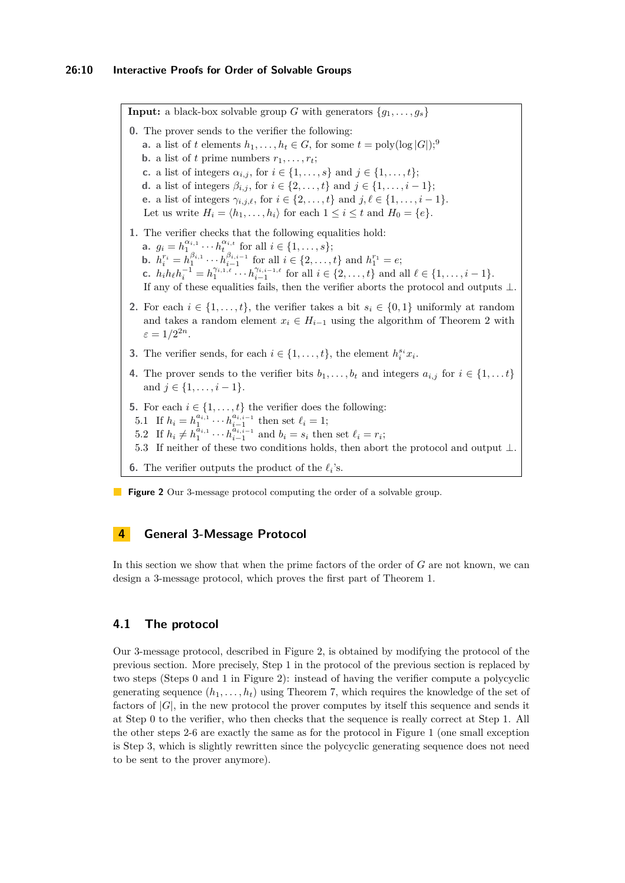<span id="page-9-0"></span>**Input:** a black-box solvable group *G* with generators  $\{g_1, \ldots, g_s\}$ **0.** The prover sends to the verifier the following: **a.** a list of *t* elements  $h_1, \ldots, h_t \in G$ , for some  $t = \text{poly}(\log |G|)$ ; **b.** a list of *t* prime numbers  $r_1, \ldots, r_t$ ; **c.** a list of integers  $\alpha_{i,j}$ , for  $i \in \{1, ..., s\}$  and  $j \in \{1, ..., t\}$ ; **d.** a list of integers  $\beta_{i,j}$ , for  $i \in \{2, ..., t\}$  and  $j \in \{1, ..., i - 1\}$ ; **e.** a list of integers  $\gamma_{i,j,\ell}$ , for  $i \in \{2, ..., t\}$  and  $j, \ell \in \{1, ..., i - 1\}$ . Let us write  $H_i = \langle h_1, \ldots, h_i \rangle$  for each  $1 \leq i \leq t$  and  $H_0 = \{e\}.$ **1.** The verifier checks that the following equalities hold: **a.**  $g_i = h_1^{\alpha_{i,1}} \cdots h_t^{\alpha_{i,t}}$  for all  $i \in \{1, \ldots, s\};$ **b.**  $h_i^{r_i} = h_1^{\beta_{i,1}} \cdots h_{i-1}^{\beta_{i,i-1}}$  for all  $i \in \{2, \ldots, t\}$  and  $h_1^{r_1} = e$ ; **c.**  $h_i h_{\ell} h_i^{-1} = h_1^{\gamma_{i,1,\ell}} \cdots h_{i-1}^{\gamma_{i,i-1,\ell}}$  for all  $i \in \{2,\ldots,t\}$  and all  $\ell \in \{1,\ldots,i-1\}$ . If any of these equalities fails, then the verifier aborts the protocol and outputs ⊥. **2.** For each  $i \in \{1, \ldots, t\}$ , the verifier takes a bit  $s_i \in \{0, 1\}$  uniformly at random and takes a random element  $x_i \in H_{i-1}$  using the algorithm of Theorem [2](#page-3-1) with  $\varepsilon = 1/2^{2n}$ . **3.** The verifier sends, for each  $i \in \{1, \ldots, t\}$ , the element  $h_i^{s_i} x_i$ . **4.** The prover sends to the verifier bits  $b_1, \ldots, b_t$  and integers  $a_{i,j}$  for  $i \in \{1, \ldots t\}$ and  $j \in \{1, \ldots, i-1\}.$ **5.** For each  $i \in \{1, \ldots, t\}$  the verifier does the following: 5.1 If  $h_i = h_1^{a_{i,1}} \cdots h_{i-1}^{a_{i,i-1}}$  then set  $\ell_i = 1$ ; 5.2 If  $h_i \neq h_1^{\tilde{a}_{i,1}} \cdots h_{i-1}^{\tilde{a}_{i,i-1}}$  and  $b_i = s_i$  then set  $\ell_i = r_i$ ; 5.3 If neither of these two conditions holds, then abort the protocol and output ⊥. **6.** The verifier outputs the product of the  $\ell_i$ 's.

**Figure 2** Our 3-message protocol computing the order of a solvable group.

## **4 General 3-Message Protocol**

In this section we show that when the prime factors of the order of *G* are not known, we can design a 3-message protocol, which proves the first part of Theorem [1.](#page-2-1)

# **4.1 The protocol**

Our 3-message protocol, described in Figure [2,](#page-9-0) is obtained by modifying the protocol of the previous section. More precisely, Step 1 in the protocol of the previous section is replaced by two steps (Steps 0 and 1 in Figure [2\)](#page-9-0): instead of having the verifier compute a polycyclic generating sequence  $(h_1, \ldots, h_t)$  using Theorem [7,](#page-5-1) which requires the knowledge of the set of factors of  $|G|$ , in the new protocol the prover computes by itself this sequence and sends it at Step 0 to the verifier, who then checks that the sequence is really correct at Step 1. All the other steps 2-6 are exactly the same as for the protocol in Figure [1](#page-7-0) (one small exception is Step 3, which is slightly rewritten since the polycyclic generating sequence does not need to be sent to the prover anymore).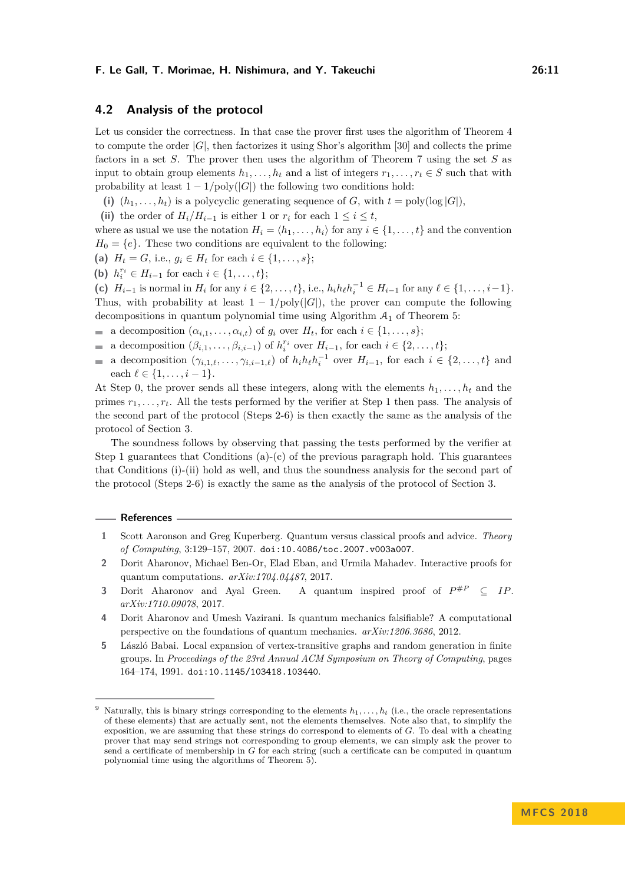## **4.2 Analysis of the protocol**

Let us consider the correctness. In that case the prover first uses the algorithm of Theorem [4](#page-4-2) to compute the order |*G*|, then factorizes it using Shor's algorithm [\[30\]](#page-12-4) and collects the prime factors in a set *S*. The prover then uses the algorithm of Theorem [7](#page-5-1) using the set *S* as input to obtain group elements  $h_1, \ldots, h_t$  and a list of integers  $r_1, \ldots, r_t \in S$  such that with probability at least  $1 - 1/\text{poly}(|G|)$  the following two conditions hold:

- (i)  $(h_1, \ldots, h_t)$  is a polycyclic generating sequence of *G*, with  $t = \text{poly}(\log |G|)$ ,
- (ii) the order of  $H_i/H_{i-1}$  is either 1 or  $r_i$  for each  $1 \leq i \leq t$ ,

where as usual we use the notation  $H_i = \langle h_1, \ldots, h_i \rangle$  for any  $i \in \{1, \ldots, t\}$  and the convention  $H_0 = \{e\}$ . These two conditions are equivalent to the following:

- (a)  $H_t = G$ , i.e.,  $g_i \in H_t$  for each  $i \in \{1, \ldots, s\};$
- (**b**)  $h_i^{r_i} \in H_{i-1}$  for each  $i \in \{1, ..., t\};$

(c)  $H_{i-1}$  is normal in  $H_i$  for any  $i \in \{2, ..., t\}$ , i.e.,  $h_i h_\ell h_i^{-1} \in H_{i-1}$  for any  $\ell \in \{1, ..., i-1\}$ . Thus, with probability at least  $1 - 1/poly(|G|)$ , the prover can compute the following decompositions in quantum polynomial time using Algorithm  $A_1$  of Theorem [5:](#page-4-1)

- a decomposition  $(\alpha_{i,1}, \ldots, \alpha_{i,t})$  of  $g_i$  over  $H_t$ , for each  $i \in \{1, \ldots, s\};$
- a decomposition  $(\beta_{i,1}, \ldots, \beta_{i,i-1})$  of  $h_i^{r_i}$  over  $H_{i-1}$ , for each  $i \in \{2, \ldots, t\};$
- a decomposition  $(\gamma_{i,1,\ell}, \ldots, \gamma_{i,i-1,\ell})$  of  $h_i h_\ell h_i^{-1}$  over  $H_{i-1}$ , for each  $i \in \{2, \ldots, t\}$  and  $\blacksquare$ each  $\ell \in \{1, \ldots, i-1\}.$

At Step 0, the prover sends all these integers, along with the elements  $h_1, \ldots, h_t$  and the primes  $r_1, \ldots, r_t$ . All the tests performed by the verifier at Step 1 then pass. The analysis of the second part of the protocol (Steps 2-6) is then exactly the same as the analysis of the protocol of Section [3.](#page-5-2)

The soundness follows by observing that passing the tests performed by the verifier at Step 1 guarantees that Conditions  $(a)-(c)$  of the previous paragraph hold. This guarantees that Conditions (i)-(ii) hold as well, and thus the soundness analysis for the second part of the protocol (Steps 2-6) is exactly the same as the analysis of the protocol of Section [3.](#page-5-2)

#### **References**

- <span id="page-10-1"></span>**1** Scott Aaronson and Greg Kuperberg. Quantum versus classical proofs and advice. *Theory of Computing*, 3:129–157, 2007. [doi:10.4086/toc.2007.v003a007](http://dx.doi.org/10.4086/toc.2007.v003a007).
- <span id="page-10-2"></span>**2** Dorit Aharonov, Michael Ben-Or, Elad Eban, and Urmila Mahadev. Interactive proofs for quantum computations. *arXiv:1704.04487*, 2017.
- <span id="page-10-3"></span>**3** Dorit Aharonov and Ayal Green. A quantum inspired proof of  $P^{\#P} \subseteq IP$ . *arXiv:1710.09078*, 2017.
- <span id="page-10-0"></span>**4** Dorit Aharonov and Umesh Vazirani. Is quantum mechanics falsifiable? A computational perspective on the foundations of quantum mechanics. *arXiv:1206.3686*, 2012.
- <span id="page-10-4"></span>**5** László Babai. Local expansion of vertex-transitive graphs and random generation in finite groups. In *Proceedings of the 23rd Annual ACM Symposium on Theory of Computing*, pages 164–174, 1991. [doi:10.1145/103418.103440](http://dx.doi.org/10.1145/103418.103440).

<span id="page-10-5"></span>Naturally, this is binary strings corresponding to the elements  $h_1, \ldots, h_t$  (i.e., the oracle representations of these elements) that are actually sent, not the elements themselves. Note also that, to simplify the exposition, we are assuming that these strings do correspond to elements of *G*. To deal with a cheating prover that may send strings not corresponding to group elements, we can simply ask the prover to send a certificate of membership in *G* for each string (such a certificate can be computed in quantum polynomial time using the algorithms of Theorem [5\)](#page-4-1).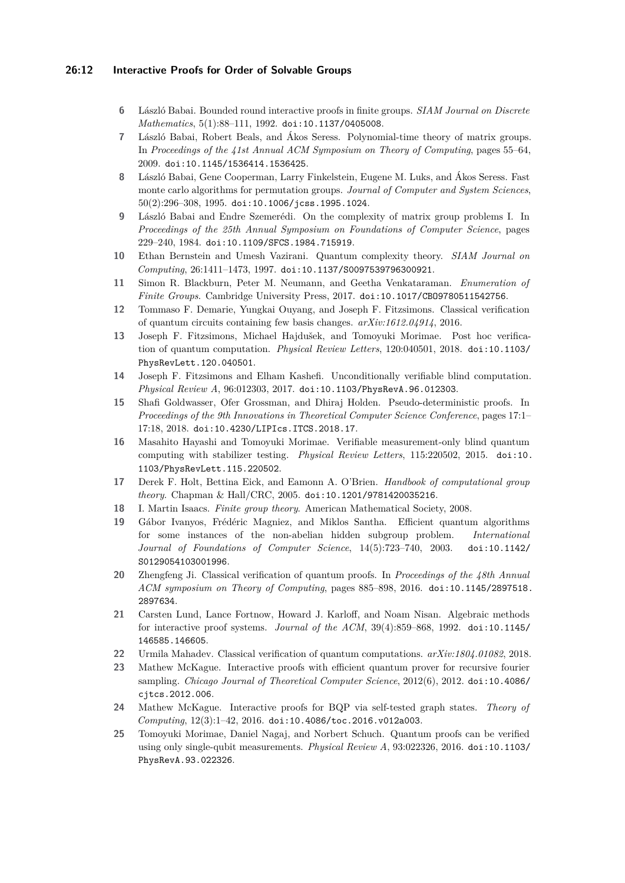## **26:12 Interactive Proofs for Order of Solvable Groups**

- <span id="page-11-5"></span>**6** László Babai. Bounded round interactive proofs in finite groups. *SIAM Journal on Discrete Mathematics*, 5(1):88–111, 1992. [doi:10.1137/0405008](http://dx.doi.org/10.1137/0405008).
- <span id="page-11-6"></span>**7** László Babai, Robert Beals, and Ákos Seress. Polynomial-time theory of matrix groups. In *Proceedings of the 41st Annual ACM Symposium on Theory of Computing*, pages 55–64, 2009. [doi:10.1145/1536414.1536425](http://dx.doi.org/10.1145/1536414.1536425).
- <span id="page-11-18"></span>**8** László Babai, Gene Cooperman, Larry Finkelstein, Eugene M. Luks, and Ákos Seress. Fast monte carlo algorithms for permutation groups. *Journal of Computer and System Sciences*, 50(2):296–308, 1995. [doi:10.1006/jcss.1995.1024](http://dx.doi.org/10.1006/jcss.1995.1024).
- <span id="page-11-7"></span>**9** László Babai and Endre Szemerédi. On the complexity of matrix group problems I. In *Proceedings of the 25th Annual Symposium on Foundations of Computer Science*, pages 229–240, 1984. [doi:10.1109/SFCS.1984.715919](http://dx.doi.org/10.1109/SFCS.1984.715919).
- <span id="page-11-2"></span>**10** Ethan Bernstein and Umesh Vazirani. Quantum complexity theory. *SIAM Journal on Computing*, 26:1411–1473, 1997. [doi:10.1137/S0097539796300921](http://dx.doi.org/10.1137/S0097539796300921).
- <span id="page-11-8"></span>**11** Simon R. Blackburn, Peter M. Neumann, and Geetha Venkataraman. *Enumeration of Finite Groups*. Cambridge University Press, 2017. [doi:10.1017/CBO9780511542756](http://dx.doi.org/10.1017/CBO9780511542756).
- <span id="page-11-4"></span>**12** Tommaso F. Demarie, Yungkai Ouyang, and Joseph F. Fitzsimons. Classical verification of quantum circuits containing few basis changes. *arXiv:1612.04914*, 2016.
- <span id="page-11-10"></span>**13** Joseph F. Fitzsimons, Michael Hajdušek, and Tomoyuki Morimae. Post hoc verification of quantum computation. *Physical Review Letters*, 120:040501, 2018. [doi:10.1103/](http://dx.doi.org/10.1103/PhysRevLett.120.040501) [PhysRevLett.120.040501](http://dx.doi.org/10.1103/PhysRevLett.120.040501).
- <span id="page-11-9"></span>**14** Joseph F. Fitzsimons and Elham Kashefi. Unconditionally verifiable blind computation. *Physical Review A*, 96:012303, 2017. [doi:10.1103/PhysRevA.96.012303](http://dx.doi.org/10.1103/PhysRevA.96.012303).
- <span id="page-11-19"></span>**15** Shafi Goldwasser, Ofer Grossman, and Dhiraj Holden. Pseudo-deterministic proofs. In *Proceedings of the 9th Innovations in Theoretical Computer Science Conference*, pages 17:1– 17:18, 2018. [doi:10.4230/LIPIcs.ITCS.2018.17](http://dx.doi.org/10.4230/LIPIcs.ITCS.2018.17).
- <span id="page-11-11"></span>**16** Masahito Hayashi and Tomoyuki Morimae. Verifiable measurement-only blind quantum computing with stabilizer testing. *Physical Review Letters*, 115:220502, 2015. [doi:10.](http://dx.doi.org/10.1103/PhysRevLett.115.220502) [1103/PhysRevLett.115.220502](http://dx.doi.org/10.1103/PhysRevLett.115.220502).
- <span id="page-11-17"></span>**17** Derek F. Holt, Bettina Eick, and Eamonn A. O'Brien. *Handbook of computational group theory*. Chapman & Hall/CRC, 2005. [doi:10.1201/9781420035216](http://dx.doi.org/10.1201/9781420035216).
- <span id="page-11-15"></span>**18** I. Martin Isaacs. *Finite group theory*. American Mathematical Society, 2008.
- <span id="page-11-16"></span>**19** Gábor Ivanyos, Frédéric Magniez, and Miklos Santha. Efficient quantum algorithms for some instances of the non-abelian hidden subgroup problem. *International Journal of Foundations of Computer Science*, 14(5):723–740, 2003. [doi:10.1142/](http://dx.doi.org/10.1142/S0129054103001996) [S0129054103001996](http://dx.doi.org/10.1142/S0129054103001996).
- <span id="page-11-0"></span>**20** Zhengfeng Ji. Classical verification of quantum proofs. In *Proceedings of the 48th Annual ACM symposium on Theory of Computing*, pages 885–898, 2016. [doi:10.1145/2897518.](http://dx.doi.org/10.1145/2897518.2897634) [2897634](http://dx.doi.org/10.1145/2897518.2897634).
- <span id="page-11-13"></span>**21** Carsten Lund, Lance Fortnow, Howard J. Karloff, and Noam Nisan. Algebraic methods for interactive proof systems. *Journal of the ACM*, 39(4):859–868, 1992. [doi:10.1145/](http://dx.doi.org/10.1145/146585.146605) [146585.146605](http://dx.doi.org/10.1145/146585.146605).
- <span id="page-11-14"></span>**22** Urmila Mahadev. Classical verification of quantum computations. *arXiv:1804.01082*, 2018.
- <span id="page-11-3"></span>**23** Mathew McKague. Interactive proofs with efficient quantum prover for recursive fourier sampling. *Chicago Journal of Theoretical Computer Science*, 2012(6), 2012. [doi:10.4086/](http://dx.doi.org/10.4086/cjtcs.2012.006) [cjtcs.2012.006](http://dx.doi.org/10.4086/cjtcs.2012.006).
- <span id="page-11-1"></span>**24** Mathew McKague. Interactive proofs for BQP via self-tested graph states. *Theory of Computing*, 12(3):1–42, 2016. [doi:10.4086/toc.2016.v012a003](http://dx.doi.org/10.4086/toc.2016.v012a003).
- <span id="page-11-12"></span>**25** Tomoyuki Morimae, Daniel Nagaj, and Norbert Schuch. Quantum proofs can be verified using only single-qubit measurements. *Physical Review A*, 93:022326, 2016. [doi:10.1103/](http://dx.doi.org/10.1103/PhysRevA.93.022326) [PhysRevA.93.022326](http://dx.doi.org/10.1103/PhysRevA.93.022326).